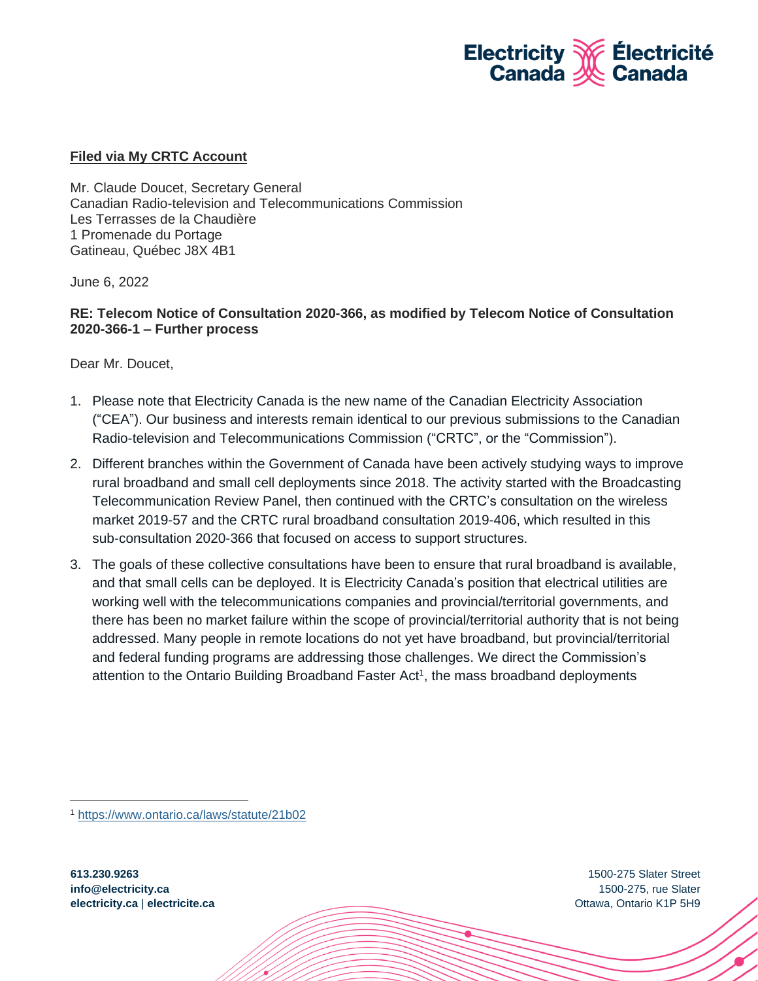

## **Filed via My CRTC Account**

Mr. Claude Doucet, Secretary General Canadian Radio-television and Telecommunications Commission Les Terrasses de la Chaudière 1 Promenade du Portage Gatineau, Québec J8X 4B1

June 6, 2022

## **RE: Telecom Notice of Consultation 2020-366, as modified by Telecom Notice of Consultation 2020-366-1 – Further process**

Dear Mr. Doucet,

- 1. Please note that Electricity Canada is the new name of the Canadian Electricity Association ("CEA"). Our business and interests remain identical to our previous submissions to the Canadian Radio-television and Telecommunications Commission ("CRTC", or the "Commission").
- 2. Different branches within the Government of Canada have been actively studying ways to improve rural broadband and small cell deployments since 2018. The activity started with the Broadcasting Telecommunication Review Panel, then continued with the CRTC's consultation on the wireless market 2019-57 and the CRTC rural broadband consultation 2019-406, which resulted in this sub-consultation 2020-366 that focused on access to support structures.
- 3. The goals of these collective consultations have been to ensure that rural broadband is available, and that small cells can be deployed. It is Electricity Canada's position that electrical utilities are working well with the telecommunications companies and provincial/territorial governments, and there has been no market failure within the scope of provincial/territorial authority that is not being addressed. Many people in remote locations do not yet have broadband, but provincial/territorial and federal funding programs are addressing those challenges. We direct the Commission's attention to the Ontario Building Broadband Faster Act<sup>1</sup>, the mass broadband deployments

1500-275 Slater Street 1500-275, rue Slater Ottawa, Ontario K1P 5H9

<sup>1</sup> <https://www.ontario.ca/laws/statute/21b02>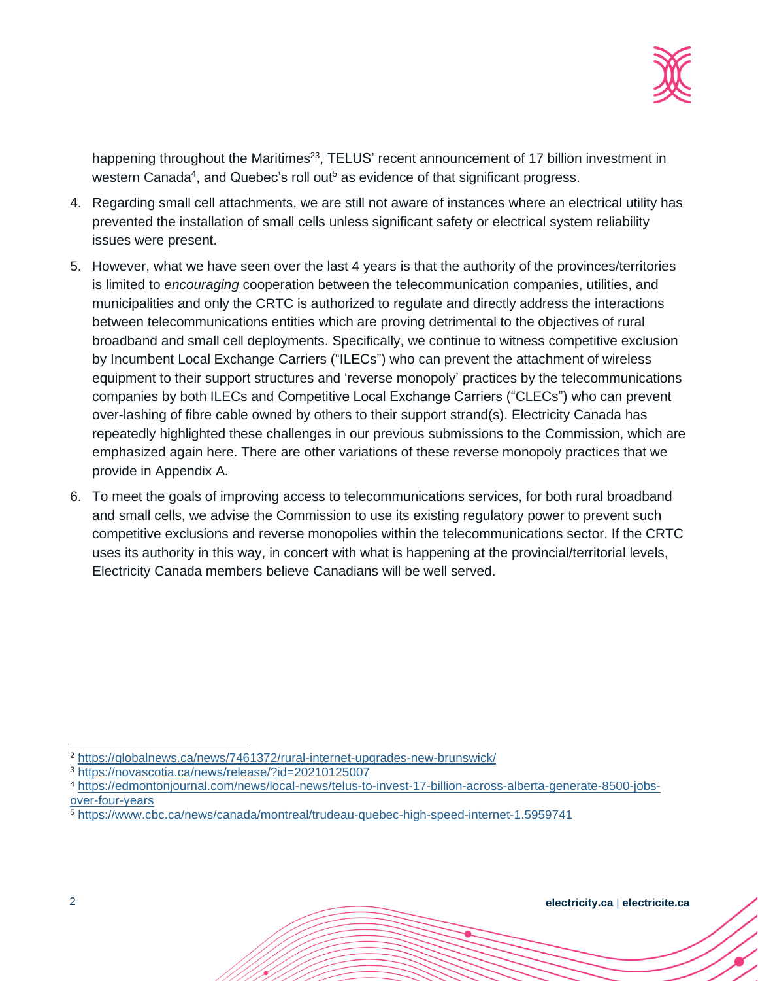

happening throughout the Maritimes<sup>23</sup>, TELUS' recent announcement of 17 billion investment in western Canada<sup>4</sup>, and Quebec's roll out<sup>5</sup> as evidence of that significant progress.

- 4. Regarding small cell attachments, we are still not aware of instances where an electrical utility has prevented the installation of small cells unless significant safety or electrical system reliability issues were present.
- 5. However, what we have seen over the last 4 years is that the authority of the provinces/territories is limited to *encouraging* cooperation between the telecommunication companies, utilities, and municipalities and only the CRTC is authorized to regulate and directly address the interactions between telecommunications entities which are proving detrimental to the objectives of rural broadband and small cell deployments. Specifically, we continue to witness competitive exclusion by Incumbent Local Exchange Carriers ("ILECs") who can prevent the attachment of wireless equipment to their support structures and 'reverse monopoly' practices by the telecommunications companies by both ILECs and Competitive Local Exchange Carriers ("CLECs") who can prevent over-lashing of fibre cable owned by others to their support strand(s). Electricity Canada has repeatedly highlighted these challenges in our previous submissions to the Commission, which are emphasized again here. There are other variations of these reverse monopoly practices that we provide in Appendix A.
- 6. To meet the goals of improving access to telecommunications services, for both rural broadband and small cells, we advise the Commission to use its existing regulatory power to prevent such competitive exclusions and reverse monopolies within the telecommunications sector. If the CRTC uses its authority in this way, in concert with what is happening at the provincial/territorial levels, Electricity Canada members believe Canadians will be well served.

<sup>3</sup> <https://novascotia.ca/news/release/?id=20210125007>

<sup>2</sup> <https://globalnews.ca/news/7461372/rural-internet-upgrades-new-brunswick/>

<sup>4</sup> [https://edmontonjournal.com/news/local-news/telus-to-invest-17-billion-across-alberta-generate-8500-jobs](https://edmontonjournal.com/news/local-news/telus-to-invest-17-billion-across-alberta-generate-8500-jobs-over-four-years)[over-four-years](https://edmontonjournal.com/news/local-news/telus-to-invest-17-billion-across-alberta-generate-8500-jobs-over-four-years)

<sup>5</sup> <https://www.cbc.ca/news/canada/montreal/trudeau-quebec-high-speed-internet-1.5959741>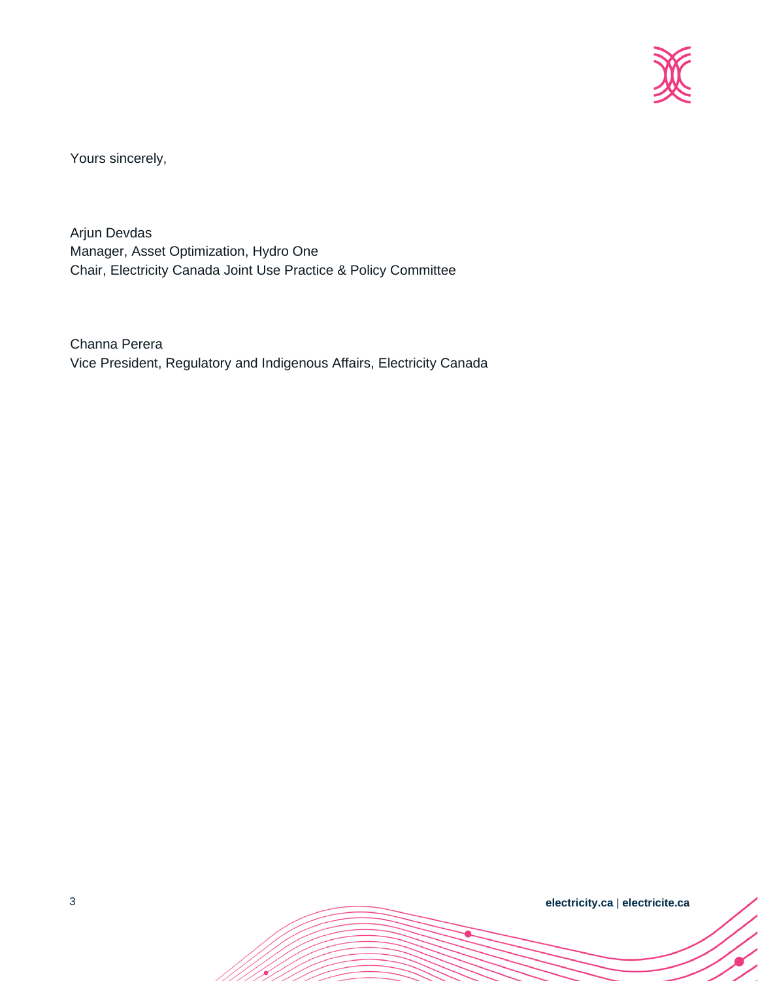

Yours sincerely,

Arjun Devdas Manager, Asset Optimization, Hydro One Chair, Electricity Canada Joint Use Practice & Policy Committee

Channa Perera Vice President, Regulatory and Indigenous Affairs, Electricity Canada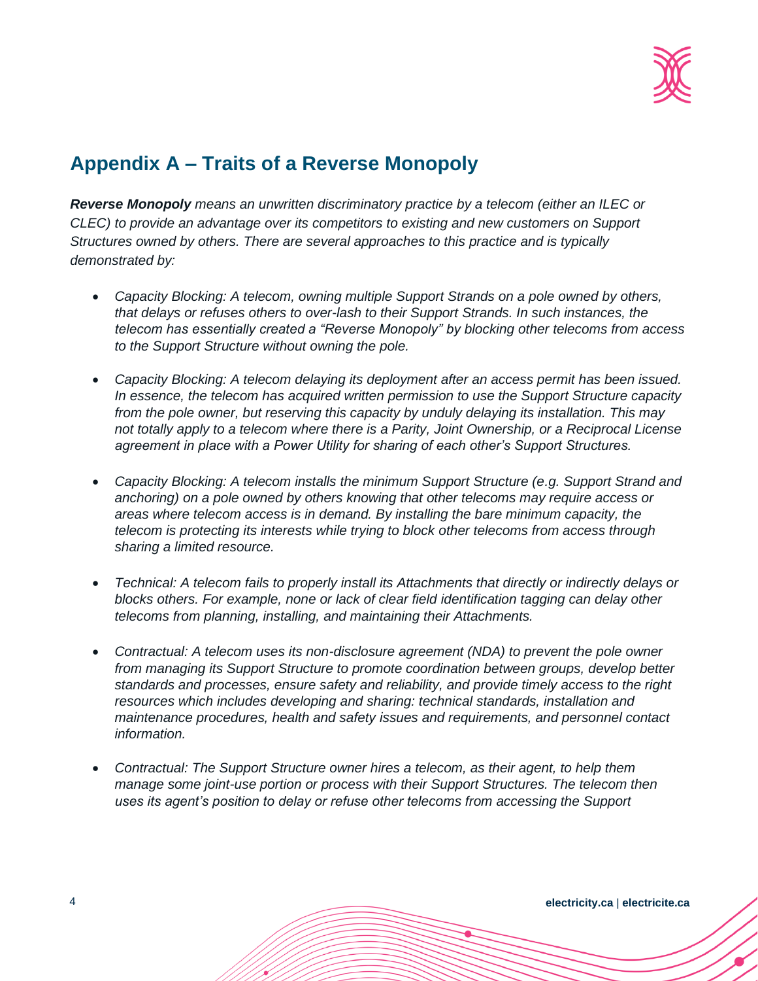

## **Appendix A – Traits of a Reverse Monopoly**

*Reverse Monopoly means an unwritten discriminatory practice by a telecom (either an ILEC or CLEC) to provide an advantage over its competitors to existing and new customers on Support Structures owned by others. There are several approaches to this practice and is typically demonstrated by:* 

- *Capacity Blocking: A telecom, owning multiple Support Strands on a pole owned by others, that delays or refuses others to over-lash to their Support Strands. In such instances, the telecom has essentially created a "Reverse Monopoly" by blocking other telecoms from access to the Support Structure without owning the pole.*
- *Capacity Blocking: A telecom delaying its deployment after an access permit has been issued. In essence, the telecom has acquired written permission to use the Support Structure capacity from the pole owner, but reserving this capacity by unduly delaying its installation. This may not totally apply to a telecom where there is a Parity, Joint Ownership, or a Reciprocal License agreement in place with a Power Utility for sharing of each other's Support Structures.*
- *Capacity Blocking: A telecom installs the minimum Support Structure (e.g. Support Strand and anchoring) on a pole owned by others knowing that other telecoms may require access or areas where telecom access is in demand. By installing the bare minimum capacity, the telecom is protecting its interests while trying to block other telecoms from access through sharing a limited resource.*
- *Technical: A telecom fails to properly install its Attachments that directly or indirectly delays or blocks others. For example, none or lack of clear field identification tagging can delay other telecoms from planning, installing, and maintaining their Attachments.*
- *Contractual: A telecom uses its non-disclosure agreement (NDA) to prevent the pole owner from managing its Support Structure to promote coordination between groups, develop better standards and processes, ensure safety and reliability, and provide timely access to the right resources which includes developing and sharing: technical standards, installation and maintenance procedures, health and safety issues and requirements, and personnel contact information.*
- *Contractual: The Support Structure owner hires a telecom, as their agent, to help them manage some joint-use portion or process with their Support Structures. The telecom then uses its agent's position to delay or refuse other telecoms from accessing the Support*